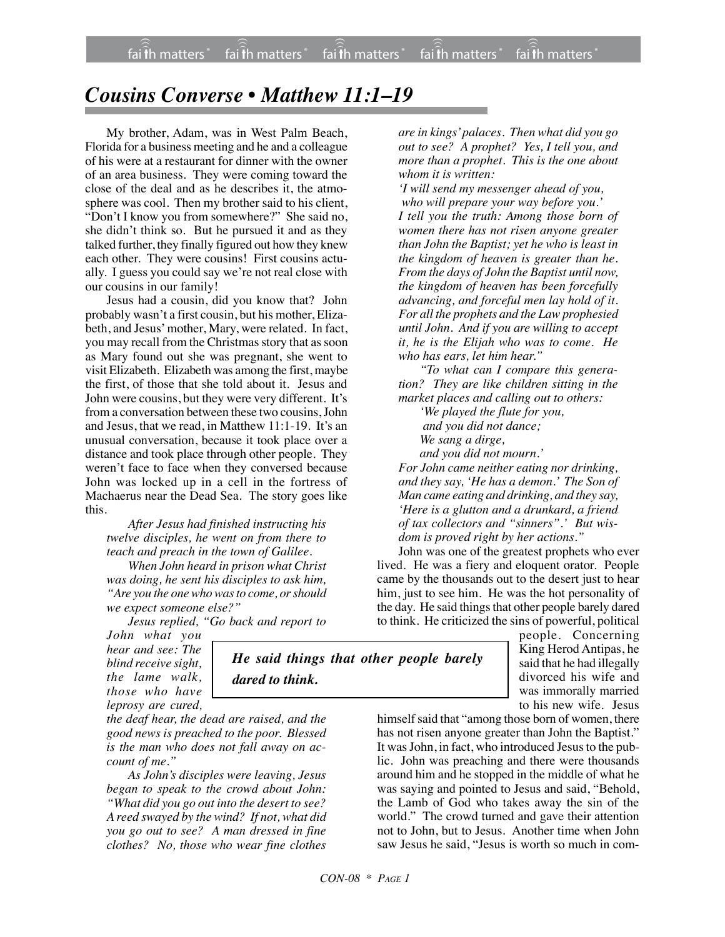fai $\widehat{\widehat{\mathfrak{f}}}$ h matters  $^*$  fai $\widehat{\widehat{\mathfrak{f}}}$ h matters  $^*$  fai $\widehat{\widehat{\mathfrak{f}}}$ h matters  $^*$  fai $\widehat{\widehat{\mathfrak{f}}}$ h matters  $^*$ fai th matters ))) faith matters

## *Cousins Converse • Matthew 11:1–19*

My brother, Adam, was in West Palm Beach, Florida for a business meeting and he and a colleague of his were at a restaurant for dinner with the owner of an area business. They were coming toward the close of the deal and as he describes it, the atmosphere was cool. Then my brother said to his client, "Don't I know you from somewhere?" She said no, she didn't think so. But he pursued it and as they talked further, they finally figured out how they knew each other. They were cousins! First cousins actually. I guess you could say we're not real close with our cousins in our family!

Jesus had a cousin, did you know that? John probably wasn't a first cousin, but his mother, Elizabeth, and Jesus' mother, Mary, were related. In fact, you may recall from the Christmas story that as soon as Mary found out she was pregnant, she went to visit Elizabeth. Elizabeth was among the first, maybe the first, of those that she told about it. Jesus and John were cousins, but they were very different. It's from a conversation between these two cousins, John and Jesus, that we read, in Matthew 11:1-19. It's an unusual conversation, because it took place over a distance and took place through other people. They weren't face to face when they conversed because John was locked up in a cell in the fortress of Machaerus near the Dead Sea. The story goes like this.

*After Jesus had finished instructing his twelve disciples, he went on from there to teach and preach in the town of Galilee.*

*When John heard in prison what Christ was doing, he sent his disciples to ask him, "Are you the one who was to come, or should we expect someone else?"*

*Jesus replied, "Go back and report to*

*dared to think.*

*John what you hear and see: The blind receive sight, the lame walk, those who have leprosy are cured,*

*the deaf hear, the dead are raised, and the good news is preached to the poor. Blessed is the man who does not fall away on account of me."*

*As John's disciples were leaving, Jesus began to speak to the crowd about John: "What did you go out into the desert to see? A reed swayed by the wind? If not, what did you go out to see? A man dressed in fine clothes? No, those who wear fine clothes* *are in kings' palaces. Then what did you go out to see? A prophet? Yes, I tell you, and more than a prophet. This is the one about whom it is written:*

*'I will send my messenger ahead of you, who will prepare your way before you.' I tell you the truth: Among those born of women there has not risen anyone greater than John the Baptist; yet he who is least in the kingdom of heaven is greater than he. From the days of John the Baptist until now, the kingdom of heaven has been forcefully advancing, and forceful men lay hold of it. For all the prophets and the Law prophesied until John. And if you are willing to accept it, he is the Elijah who was to come. He who has ears, let him hear."*

*"To what can I compare this generation? They are like children sitting in the market places and calling out to others:*

> *'We played the flute for you, and you did not dance; We sang a dirge,*

*and you did not mourn.'*

*For John came neither eating nor drinking, and they say, 'He has a demon.' The Son of Man came eating and drinking, and they say, 'Here is a glutton and a drunkard, a friend of tax collectors and "sinners".' But wisdom is proved right by her actions."*

John was one of the greatest prophets who ever lived. He was a fiery and eloquent orator. People came by the thousands out to the desert just to hear him, just to see him. He was the hot personality of the day. He said things that other people barely dared to think. He criticized the sins of powerful, political

> people. Concerning King Herod Antipas, he said that he had illegally divorced his wife and was immorally married to his new wife. Jesus

himself said that "among those born of women, there has not risen anyone greater than John the Baptist." It was John, in fact, who introduced Jesus to the public. John was preaching and there were thousands around him and he stopped in the middle of what he was saying and pointed to Jesus and said, "Behold, the Lamb of God who takes away the sin of the world." The crowd turned and gave their attention not to John, but to Jesus. Another time when John saw Jesus he said, "Jesus is worth so much in com-

*He said things that other people barely*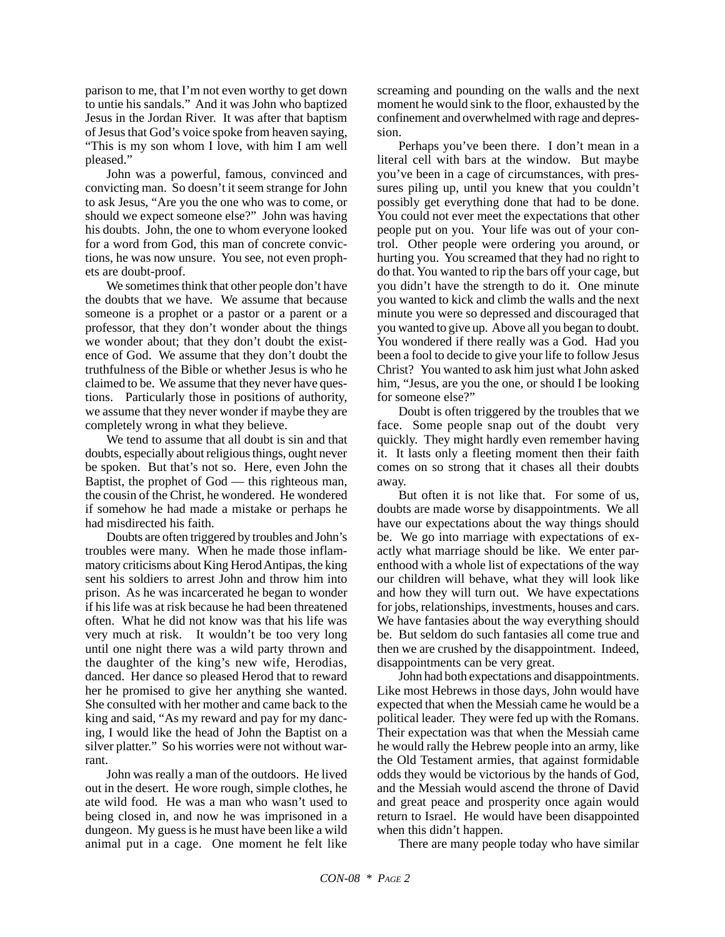parison to me, that I'm not even worthy to get down to untie his sandals." And it was John who baptized Jesus in the Jordan River. It was after that baptism of Jesus that God's voice spoke from heaven saying, "This is my son whom I love, with him I am well pleased."

John was a powerful, famous, convinced and convicting man. So doesn't it seem strange for John to ask Jesus, "Are you the one who was to come, or should we expect someone else?" John was having his doubts. John, the one to whom everyone looked for a word from God, this man of concrete convictions, he was now unsure. You see, not even prophets are doubt-proof.

We sometimes think that other people don't have the doubts that we have. We assume that because someone is a prophet or a pastor or a parent or a professor, that they don't wonder about the things we wonder about; that they don't doubt the existence of God. We assume that they don't doubt the truthfulness of the Bible or whether Jesus is who he claimed to be. We assume that they never have questions. Particularly those in positions of authority, we assume that they never wonder if maybe they are completely wrong in what they believe.

We tend to assume that all doubt is sin and that doubts, especially about religious things, ought never be spoken. But that's not so. Here, even John the Baptist, the prophet of God — this righteous man, the cousin of the Christ, he wondered. He wondered if somehow he had made a mistake or perhaps he had misdirected his faith.

Doubts are often triggered by troubles and John's troubles were many. When he made those inflammatory criticisms about King Herod Antipas, the king sent his soldiers to arrest John and throw him into prison. As he was incarcerated he began to wonder if his life was at risk because he had been threatened often. What he did not know was that his life was very much at risk. It wouldn't be too very long until one night there was a wild party thrown and the daughter of the king's new wife, Herodias, danced. Her dance so pleased Herod that to reward her he promised to give her anything she wanted. She consulted with her mother and came back to the king and said, "As my reward and pay for my dancing, I would like the head of John the Baptist on a silver platter." So his worries were not without warrant.

John was really a man of the outdoors. He lived out in the desert. He wore rough, simple clothes, he ate wild food. He was a man who wasn't used to being closed in, and now he was imprisoned in a dungeon. My guess is he must have been like a wild animal put in a cage. One moment he felt like screaming and pounding on the walls and the next moment he would sink to the floor, exhausted by the confinement and overwhelmed with rage and depression.

Perhaps you've been there. I don't mean in a literal cell with bars at the window. But maybe you've been in a cage of circumstances, with pressures piling up, until you knew that you couldn't possibly get everything done that had to be done. You could not ever meet the expectations that other people put on you. Your life was out of your control. Other people were ordering you around, or hurting you. You screamed that they had no right to do that. You wanted to rip the bars off your cage, but you didn't have the strength to do it. One minute you wanted to kick and climb the walls and the next minute you were so depressed and discouraged that you wanted to give up. Above all you began to doubt. You wondered if there really was a God. Had you been a fool to decide to give your life to follow Jesus Christ? You wanted to ask him just what John asked him, "Jesus, are you the one, or should I be looking for someone else?"

Doubt is often triggered by the troubles that we face. Some people snap out of the doubt very quickly. They might hardly even remember having it. It lasts only a fleeting moment then their faith comes on so strong that it chases all their doubts away.

But often it is not like that. For some of us, doubts are made worse by disappointments. We all have our expectations about the way things should be. We go into marriage with expectations of exactly what marriage should be like. We enter parenthood with a whole list of expectations of the way our children will behave, what they will look like and how they will turn out. We have expectations for jobs, relationships, investments, houses and cars. We have fantasies about the way everything should be. But seldom do such fantasies all come true and then we are crushed by the disappointment. Indeed, disappointments can be very great.

John had both expectations and disappointments. Like most Hebrews in those days, John would have expected that when the Messiah came he would be a political leader. They were fed up with the Romans. Their expectation was that when the Messiah came he would rally the Hebrew people into an army, like the Old Testament armies, that against formidable odds they would be victorious by the hands of God, and the Messiah would ascend the throne of David and great peace and prosperity once again would return to Israel. He would have been disappointed when this didn't happen.

There are many people today who have similar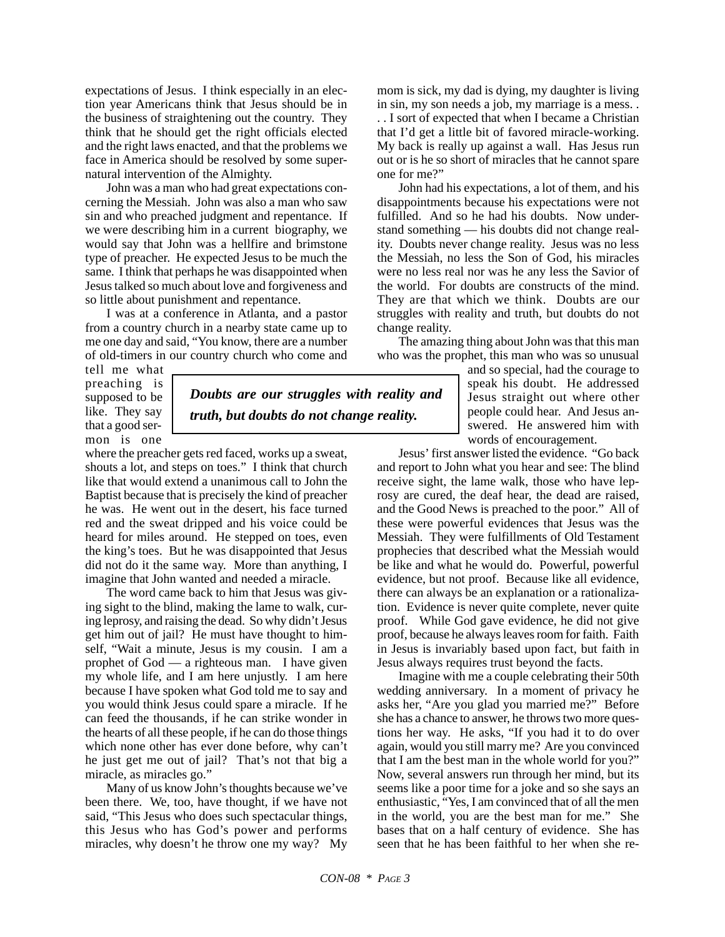expectations of Jesus. I think especially in an election year Americans think that Jesus should be in the business of straightening out the country. They think that he should get the right officials elected and the right laws enacted, and that the problems we face in America should be resolved by some supernatural intervention of the Almighty.

John was a man who had great expectations concerning the Messiah. John was also a man who saw sin and who preached judgment and repentance. If we were describing him in a current biography, we would say that John was a hellfire and brimstone type of preacher. He expected Jesus to be much the same. I think that perhaps he was disappointed when Jesus talked so much about love and forgiveness and so little about punishment and repentance.

I was at a conference in Atlanta, and a pastor from a country church in a nearby state came up to me one day and said, "You know, there are a number of old-timers in our country church who come and

tell me what preaching is supposed to be like. They say that a good sermon is one

*Doubts are our struggles with reality and truth, but doubts do not change reality.*

where the preacher gets red faced, works up a sweat, shouts a lot, and steps on toes." I think that church like that would extend a unanimous call to John the Baptist because that is precisely the kind of preacher he was. He went out in the desert, his face turned red and the sweat dripped and his voice could be heard for miles around. He stepped on toes, even the king's toes. But he was disappointed that Jesus did not do it the same way. More than anything, I imagine that John wanted and needed a miracle.

The word came back to him that Jesus was giving sight to the blind, making the lame to walk, curing leprosy, and raising the dead. So why didn't Jesus get him out of jail? He must have thought to himself, "Wait a minute, Jesus is my cousin. I am a prophet of God — a righteous man. I have given my whole life, and I am here unjustly. I am here because I have spoken what God told me to say and you would think Jesus could spare a miracle. If he can feed the thousands, if he can strike wonder in the hearts of all these people, if he can do those things which none other has ever done before, why can't he just get me out of jail? That's not that big a miracle, as miracles go."

Many of us know John's thoughts because we've been there. We, too, have thought, if we have not said, "This Jesus who does such spectacular things, this Jesus who has God's power and performs miracles, why doesn't he throw one my way? My mom is sick, my dad is dying, my daughter is living in sin, my son needs a job, my marriage is a mess. . . . I sort of expected that when I became a Christian that I'd get a little bit of favored miracle-working. My back is really up against a wall. Has Jesus run out or is he so short of miracles that he cannot spare one for me?"

John had his expectations, a lot of them, and his disappointments because his expectations were not fulfilled. And so he had his doubts. Now understand something — his doubts did not change reality. Doubts never change reality. Jesus was no less the Messiah, no less the Son of God, his miracles were no less real nor was he any less the Savior of the world. For doubts are constructs of the mind. They are that which we think. Doubts are our struggles with reality and truth, but doubts do not change reality.

The amazing thing about John was that this man who was the prophet, this man who was so unusual

> and so special, had the courage to speak his doubt. He addressed Jesus straight out where other people could hear. And Jesus answered. He answered him with words of encouragement.

Jesus' first answer listed the evidence. "Go back and report to John what you hear and see: The blind receive sight, the lame walk, those who have leprosy are cured, the deaf hear, the dead are raised, and the Good News is preached to the poor." All of these were powerful evidences that Jesus was the Messiah. They were fulfillments of Old Testament prophecies that described what the Messiah would be like and what he would do. Powerful, powerful evidence, but not proof. Because like all evidence, there can always be an explanation or a rationalization. Evidence is never quite complete, never quite proof. While God gave evidence, he did not give proof, because he always leaves room for faith. Faith in Jesus is invariably based upon fact, but faith in Jesus always requires trust beyond the facts.

Imagine with me a couple celebrating their 50th wedding anniversary. In a moment of privacy he asks her, "Are you glad you married me?" Before she has a chance to answer, he throws two more questions her way. He asks, "If you had it to do over again, would you still marry me? Are you convinced that I am the best man in the whole world for you?" Now, several answers run through her mind, but its seems like a poor time for a joke and so she says an enthusiastic, "Yes, I am convinced that of all the men in the world, you are the best man for me." She bases that on a half century of evidence. She has seen that he has been faithful to her when she re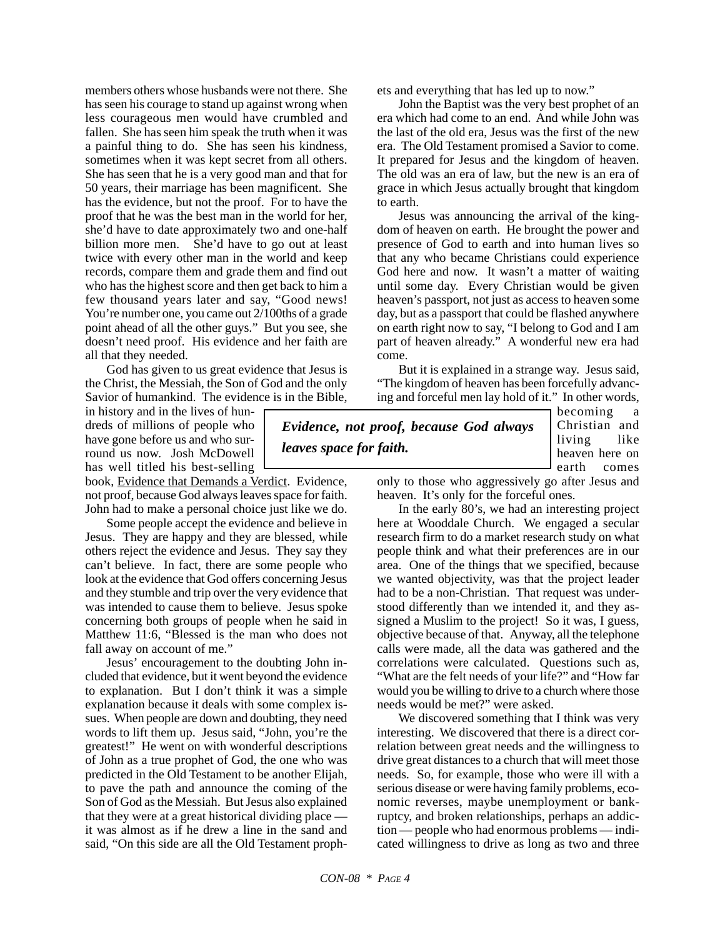members others whose husbands were not there. She has seen his courage to stand up against wrong when less courageous men would have crumbled and fallen. She has seen him speak the truth when it was a painful thing to do. She has seen his kindness, sometimes when it was kept secret from all others. She has seen that he is a very good man and that for 50 years, their marriage has been magnificent. She has the evidence, but not the proof. For to have the proof that he was the best man in the world for her, she'd have to date approximately two and one-half billion more men. She'd have to go out at least twice with every other man in the world and keep records, compare them and grade them and find out who has the highest score and then get back to him a few thousand years later and say, "Good news! You're number one, you came out 2/100ths of a grade point ahead of all the other guys." But you see, she doesn't need proof. His evidence and her faith are all that they needed.

God has given to us great evidence that Jesus is the Christ, the Messiah, the Son of God and the only Savior of humankind. The evidence is in the Bible,

in history and in the lives of hundreds of millions of people who have gone before us and who surround us now. Josh McDowell has well titled his best-selling

book, Evidence that Demands a Verdict. Evidence, not proof, because God always leaves space for faith. John had to make a personal choice just like we do.

Some people accept the evidence and believe in Jesus. They are happy and they are blessed, while others reject the evidence and Jesus. They say they can't believe. In fact, there are some people who look at the evidence that God offers concerning Jesus and they stumble and trip over the very evidence that was intended to cause them to believe. Jesus spoke concerning both groups of people when he said in Matthew 11:6, "Blessed is the man who does not fall away on account of me."

Jesus' encouragement to the doubting John included that evidence, but it went beyond the evidence to explanation. But I don't think it was a simple explanation because it deals with some complex issues. When people are down and doubting, they need words to lift them up. Jesus said, "John, you're the greatest!" He went on with wonderful descriptions of John as a true prophet of God, the one who was predicted in the Old Testament to be another Elijah, to pave the path and announce the coming of the Son of God as the Messiah. But Jesus also explained that they were at a great historical dividing place it was almost as if he drew a line in the sand and said, "On this side are all the Old Testament prophets and everything that has led up to now."

John the Baptist was the very best prophet of an era which had come to an end. And while John was the last of the old era, Jesus was the first of the new era. The Old Testament promised a Savior to come. It prepared for Jesus and the kingdom of heaven. The old was an era of law, but the new is an era of grace in which Jesus actually brought that kingdom to earth.

Jesus was announcing the arrival of the kingdom of heaven on earth. He brought the power and presence of God to earth and into human lives so that any who became Christians could experience God here and now. It wasn't a matter of waiting until some day. Every Christian would be given heaven's passport, not just as access to heaven some day, but as a passport that could be flashed anywhere on earth right now to say, "I belong to God and I am part of heaven already." A wonderful new era had come.

But it is explained in a strange way. Jesus said, "The kingdom of heaven has been forcefully advancing and forceful men lay hold of it." In other words,

*Evidence, not proof, because God always leaves space for faith.*

becoming a Christian and living like heaven here on earth comes

only to those who aggressively go after Jesus and heaven. It's only for the forceful ones.

In the early 80's, we had an interesting project here at Wooddale Church. We engaged a secular research firm to do a market research study on what people think and what their preferences are in our area. One of the things that we specified, because we wanted objectivity, was that the project leader had to be a non-Christian. That request was understood differently than we intended it, and they assigned a Muslim to the project! So it was, I guess, objective because of that. Anyway, all the telephone calls were made, all the data was gathered and the correlations were calculated. Questions such as, "What are the felt needs of your life?" and "How far would you be willing to drive to a church where those needs would be met?" were asked.

We discovered something that I think was very interesting. We discovered that there is a direct correlation between great needs and the willingness to drive great distances to a church that will meet those needs. So, for example, those who were ill with a serious disease or were having family problems, economic reverses, maybe unemployment or bankruptcy, and broken relationships, perhaps an addiction — people who had enormous problems — indicated willingness to drive as long as two and three